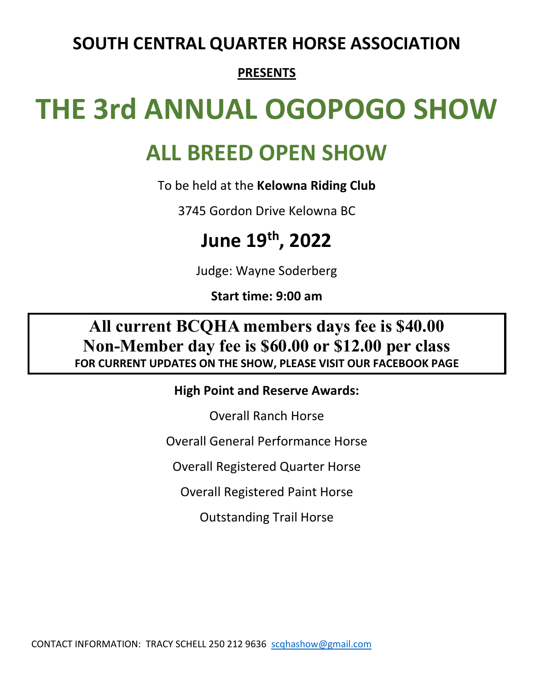## **SOUTH CENTRAL QUARTER HORSE ASSOCIATION**

### **PRESENTS**

# **THE 3rd ANNUAL OGOPOGO SHOW**

## **ALL BREED OPEN SHOW**

To be held at the **Kelowna Riding Club**

3745 Gordon Drive Kelowna BC

## **June 19th , 2022**

Judge: Wayne Soderberg

**Start time: 9:00 am** 

## **All current BCQHA members days fee is \$40.00 Non-Member day fee is \$60.00 or \$12.00 per class FOR CURRENT UPDATES ON THE SHOW, PLEASE VISIT OUR FACEBOOK PAGE**

**High Point and Reserve Awards:** 

Overall Ranch Horse

Overall General Performance Horse

Overall Registered Quarter Horse

Overall Registered Paint Horse

Outstanding Trail Horse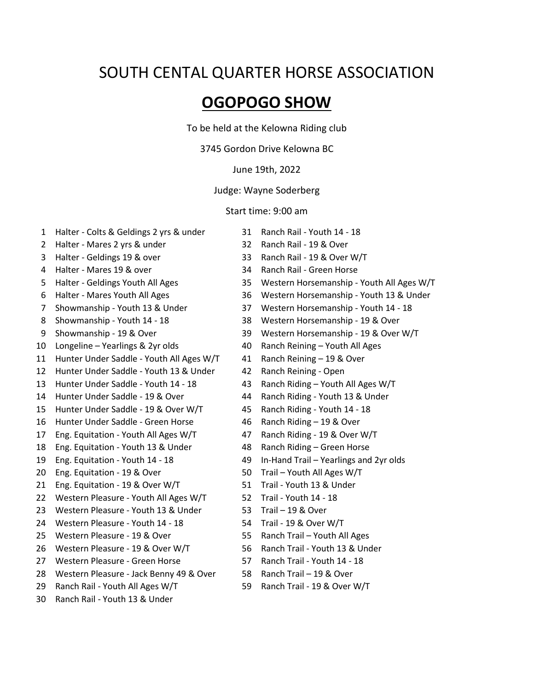## SOUTH CENTAL QUARTER HORSE ASSOCIATION

### **OGOPOGO SHOW**

To be held at the Kelowna Riding club

#### 3745 Gordon Drive Kelowna BC

#### June 19th, 2022

#### Judge: Wayne Soderberg

#### Start time: 9:00 am

- Halter Colts & Geldings 2 yrs & under 31 Ranch Rail Youth 14 18
- Halter Mares 2 yrs & under 32 Ranch Rail 19 & Over
- 
- 
- 
- 
- 
- 
- 
- 
- Hunter Under Saddle Youth All Ages W/T 41 Ranch Reining 19 & Over
- Hunter Under Saddle Youth 13 & Under 42 Ranch Reining Open
- 
- 
- Hunter Under Saddle 19 & Over W/T 45 Ranch Riding Youth 14 18
- 16 Hunter Under Saddle Green Horse 46 Ranch Riding 19 & Over
- Eng. Equitation Youth All Ages W/T 47 Ranch Riding 19 & Over W/T
- Eng. Equitation Youth 13 & Under 48 Ranch Riding Green Horse
- 
- 
- 21 Eng. Equitation 19 & Over W/T 51 Trail Youth 13 & Under
- 22 Western Pleasure Youth All Ages W/T 52 Trail Youth 14 18
- Western Pleasure Youth 13 & Under 53 Trail 19 & Over
- 24 Western Pleasure Youth 14 18 54 Trail 19 & Over W/T
- Western Pleasure 19 & Over 55 Ranch Trail Youth All Ages
- 26 Western Pleasure 19 & Over W/T 56 Ranch Trail Youth 13 & Under
- Western Pleasure Green Horse 57 Ranch Trail Youth 14 18
- Western Pleasure Jack Benny 49 & Over 58 Ranch Trail 19 & Over
- Ranch Rail Youth All Ages W/T 59 Ranch Trail 19 & Over W/T
- Ranch Rail Youth 13 & Under
- 
- 
- Halter Geldings 19 & over 33 Ranch Rail 19 & Over W/T
- Halter Mares 19 & over 34 Ranch Rail Green Horse
- Halter Geldings Youth All Ages 35 Western Horsemanship Youth All Ages W/T
- Halter Mares Youth All Ages 36 Western Horsemanship Youth 13 & Under
- Showmanship Youth 13 & Under 37 Western Horsemanship Youth 14 18
- Showmanship Youth 14 18 38 Western Horsemanship 19 & Over
- Showmanship 19 & Over 39 Western Horsemanship 19 & Over W/T
- Longeline Yearlings & 2yr olds 40 Ranch Reining Youth All Ages
	-
	-
- 13 Hunter Under Saddle Youth 14 18 43 Ranch Riding Youth All Ages W/T
- Hunter Under Saddle 19 & Over 44 Ranch Riding Youth 13 & Under
	-
	-
	-
	-
- Eng. Equitation Youth 14 18 49 In-Hand Trail Yearlings and 2yr olds
- 20 Eng. Equitation 19 & Over 50 Trail Youth All Ages W/T
	-
	-
	-
	-
	-
	-
	-
	-
	-